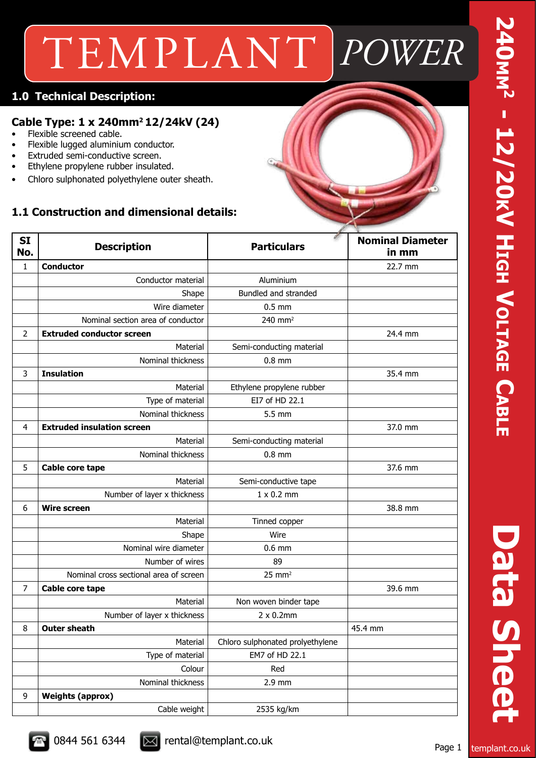## TEMPLANT *POWER*

### **1.0 Technical Description:**

### **Cable Type: 1 x 240mm2 12/24kV (24)**

- Flexible screened cable.
- Flexible lugged aluminium conductor.
- Extruded semi-conductive screen.
- Ethylene propylene rubber insulated.
- Chloro sulphonated polyethylene outer sheath.

### **1.1 Construction and dimensional details:**



| <b>SI</b><br>No. | <b>Description</b>                     | ø<br><b>Particulars</b>          | <b>Nominal Diameter</b><br>in mm |
|------------------|----------------------------------------|----------------------------------|----------------------------------|
| $\mathbf{1}$     | <b>Conductor</b>                       |                                  | 22.7 mm                          |
|                  | Conductor material                     | Aluminium                        |                                  |
|                  | Shape                                  | Bundled and stranded             |                                  |
|                  | Wire diameter                          | $0.5$ mm                         |                                  |
|                  | Nominal section area of conductor      | 240 mm <sup>2</sup>              |                                  |
| $\overline{2}$   | <b>Extruded conductor screen</b>       |                                  | 24.4 mm                          |
|                  | Material                               | Semi-conducting material         |                                  |
|                  | Nominal thickness                      | $0.8$ mm                         |                                  |
| 3                | <b>Insulation</b>                      |                                  | 35.4 mm                          |
|                  | Material                               | Ethylene propylene rubber        |                                  |
|                  | Type of material                       | EI7 of HD 22.1                   |                                  |
|                  | Nominal thickness                      | 5.5 mm                           |                                  |
| 4                | <b>Extruded insulation screen</b>      |                                  | 37.0 mm                          |
|                  | Material                               | Semi-conducting material         |                                  |
|                  | Nominal thickness                      | $0.8$ mm                         |                                  |
| 5                | Cable core tape                        |                                  | 37.6 mm                          |
|                  | Material                               | Semi-conductive tape             |                                  |
|                  | Number of layer x thickness            | $1 \times 0.2$ mm                |                                  |
| 6                | <b>Wire screen</b>                     |                                  | 38.8 mm                          |
|                  | Material                               | Tinned copper                    |                                  |
|                  | Shape                                  | Wire                             |                                  |
|                  | Nominal wire diameter                  | $0.6$ mm                         |                                  |
|                  | Number of wires                        | 89                               |                                  |
|                  | Nominal cross sectional area of screen | $25 \text{ mm}^2$                |                                  |
| $\overline{7}$   | Cable core tape                        |                                  | 39.6 mm                          |
|                  | Material                               | Non woven binder tape            |                                  |
|                  | Number of layer x thickness            | $2 \times 0.2$ mm                |                                  |
| 8                | <b>Outer sheath</b>                    |                                  | 45.4 mm                          |
|                  | Material                               | Chloro sulphonated prolyethylene |                                  |
|                  | Type of material                       | EM7 of HD 22.1                   |                                  |
|                  | Colour                                 | Red                              |                                  |
|                  | Nominal thickness                      | 2.9 mm                           |                                  |
| 9                | <b>Weights (approx)</b>                |                                  |                                  |
|                  | Cable weight                           | 2535 kg/km                       |                                  |

**Data Sheet**

Data Shee

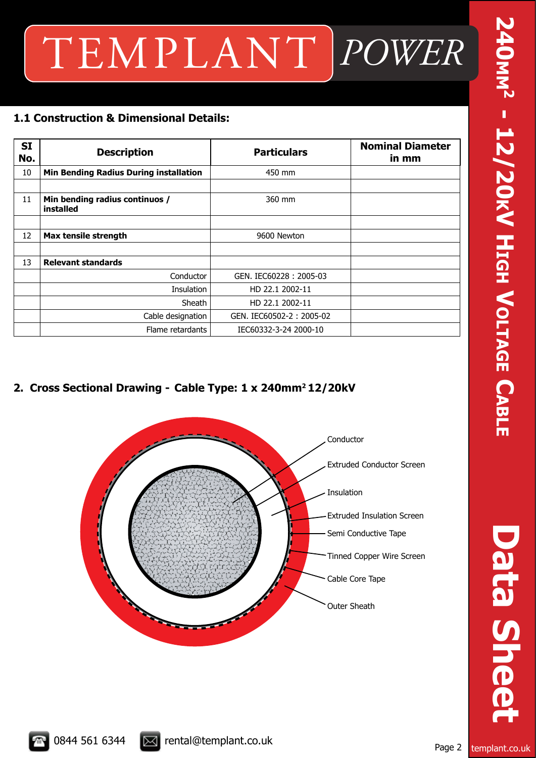# TEMPLANT *POWER*

### **1.1 Construction & Dimensional Details:**

| <b>SI</b><br>No. | <b>Description</b>                            | <b>Particulars</b>       | <b>Nominal Diameter</b><br>in mm |
|------------------|-----------------------------------------------|--------------------------|----------------------------------|
| 10               | <b>Min Bending Radius During installation</b> | 450 mm                   |                                  |
|                  |                                               |                          |                                  |
| 11               | Min bending radius continuos /<br>installed   | 360 mm                   |                                  |
|                  |                                               |                          |                                  |
| 12               | Max tensile strength                          | 9600 Newton              |                                  |
|                  |                                               |                          |                                  |
| 13               | <b>Relevant standards</b>                     |                          |                                  |
|                  | Conductor                                     | GEN. IEC60228: 2005-03   |                                  |
|                  | Insulation                                    | HD 22.1 2002-11          |                                  |
|                  | Sheath                                        | HD 22.1 2002-11          |                                  |
|                  | Cable designation                             | GEN. IEC60502-2: 2005-02 |                                  |
|                  | Flame retardants                              | IEC60332-3-24 2000-10    |                                  |

### **2. Cross Sectional Drawing - Cable Type: 1 x 240mm2 12/20kV**



**240mm2 - 12/20** 240<sub>MM</sub><sup>2</sup> - 12/20KV HIGH VOLTAGE CABLE **h Voltage Cable**

**Data Sheet Data Sheet**